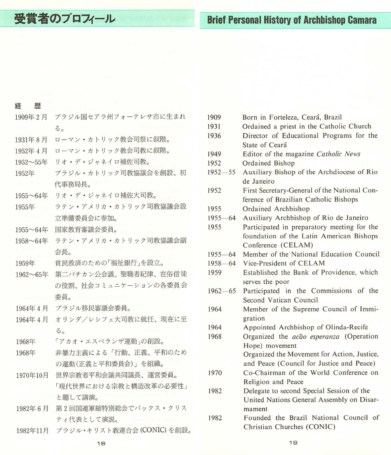# 受賞者のプロフィール

| w | <br>$\sim$ |
|---|------------|
|   |            |

| 1909年2月  | ブラジル国セアラ州フォーテレサ市に生まれ  |
|----------|-----------------------|
|          | 3a                    |
| 1931年8月  | ローマン・カトリック教会司祭に叙階。    |
| 1952年4月  | ローマン・カトリック教会司教に叙階。    |
| 1952~55年 | リオ・デ・ジャネイロ補佐司教。       |
| 1952年    | ブラジル・カトリック司教協議会を創設、初  |
|          | 代事務局長。                |
| 1955~64年 | リオ・デ・ジャネイロ補佐大司教。      |
| 1955年    | ラテン・アメリカ・カトリック司教協議会設  |
|          | 立準備委員会に参加。            |
| 1955~64年 | 国家教育審議会委員。            |
| 1958~64年 | ラテン・アメリカ・カトリック司教協議会副  |
|          | 会長。                   |
| 1959年    | 貧民救済のための「福祉銀行」を設立。    |
| 1962~65年 | 第二バチカン公会議、聖職者紀律、在俗信徒  |
|          | の役割、社会コミュニケーションの各委員会  |
|          | 委員。                   |
| 1964年4月  | ブラジル移民審議会委員。          |
| 1964年4月  | オリンダ/レシフェ大司教に就任、現在に至  |
|          | 3.5                   |
| 1968年    | 「アカオ・エスペランザ運動」の創設。    |
| 1968年    | 非暴力主義による「行動、正義、平和のため  |
|          | の運動(正義と平和委員会)」を組織。    |
| 1970年10月 | 世界宗教者平和会議共同議長、運営委員。   |
|          | 「現代世界における宗教と構造改革の必要性」 |
|          | と題して講演。               |
| 1982年6月  | 第2回国連軍縮特別総会でパックス・クリス  |

- ティ代表として演説。
- ブラジル·キリスト教連合会 (CONIC) を創設。 1982年11月
- 1909 Born in Forteleza, Ceará, Brazil
- Ordained a priest in the Catholic Church 1931
- 1936 Director of Educational Programs for the State of Ceará
- Editor of the magazine Catholic News 1949
- 1952 Ordained Bishop
- Auxiliary Bishop of the Archdiocese of Rio  $1952 - 55$ de Janeiro
- 1952 First Secretary-General of the National Conference of Brazilian Catholic Bishops
- 1955 Ordained Archbishop
- $1955 64$ Auxiliary Archbishop of Rio de Janeiro
- 1955 Participated in preparatory meeting for the foundation of the Latin American Bishops Conference (CELAM)
- 1955-64 Member of the National Education Council
- 1958-64 Vice-President of CELAM
- 1959 Established the Bank of Providence, which serves the poor
- Participated in the Commissions of the  $1962 - 65$ Second Vatican Council
- 1964 Member of the Supreme Council of Immigration
- Appointed Archbishop of Olinda-Recife 1964
- 1968 Organized the *acão esperanza* (Operation Hope) movement Organized the Movement for Action, Justice,

and Peace (Council for Justice and Peace)

- Co-Chairman of the World Conference on 1970 Religion and Peace
- 1982 Delegate to second Special Session of the United Nations General Assembly on Disarmament
- Founded the Brazil National Council of 1982 Christian Churches (CONIC)